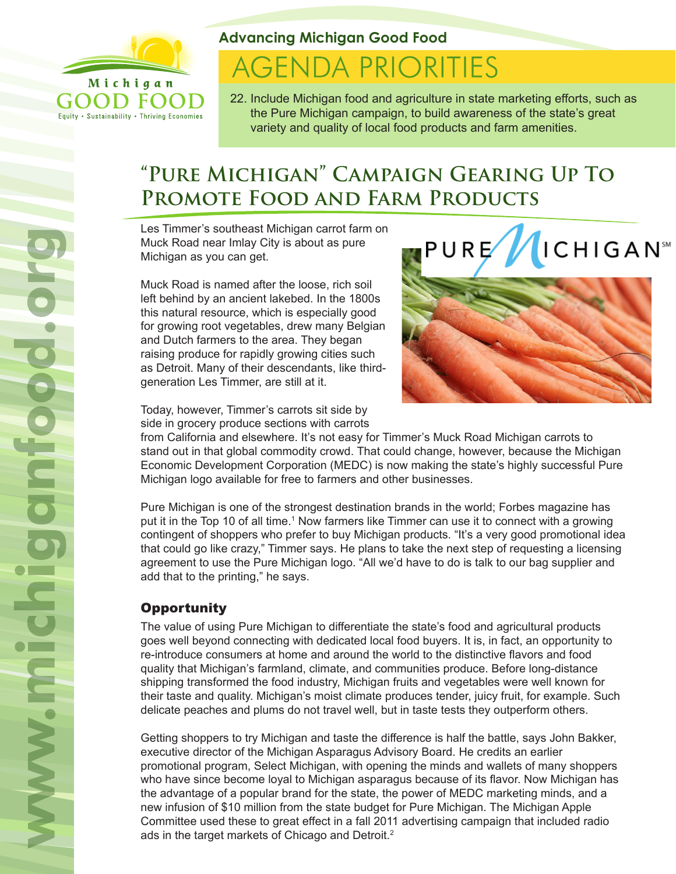

Equity . Sustainability . Thriving Economies

### **Advancing Michigan Good Food**

# **AGENDA PRIORITIES**

22. Include Michigan food and agriculture in state marketing efforts, such as the Pure Michigan campaign, to build awareness of the state's great variety and quality of local food products and farm amenities.

# **"Pure Michigan" Campaign Gearing Up To Promote Food and Farm Products**

Les Timmer's southeast Michigan carrot farm on Muck Road near Imlay City is about as pure Michigan as you can get.

Muck Road is named after the loose, rich soil left behind by an ancient lakebed. In the 1800s this natural resource, which is especially good for growing root vegetables, drew many Belgian and Dutch farmers to the area. They began raising produce for rapidly growing cities such as Detroit. Many of their descendants, like thirdgeneration Les Timmer, are still at it.

Today, however, Timmer's carrots sit side by side in grocery produce sections with carrots



from California and elsewhere. It's not easy for Timmer's Muck Road Michigan carrots to stand out in that global commodity crowd. That could change, however, because the Michigan Economic Development Corporation (MEDC) is now making the state's highly successful Pure Michigan logo available for free to farmers and other businesses.

Pure Michigan is one of the strongest destination brands in the world; Forbes magazine has put it in the Top 10 of all time.<sup>1</sup> Now farmers like Timmer can use it to connect with a growing contingent of shoppers who prefer to buy Michigan products. "It's a very good promotional idea that could go like crazy," Timmer says. He plans to take the next step of requesting a licensing agreement to use the Pure Michigan logo. "All we'd have to do is talk to our bag supplier and add that to the printing," he says.

## **Opportunity**

The value of using Pure Michigan to differentiate the state's food and agricultural products goes well beyond connecting with dedicated local food buyers. It is, in fact, an opportunity to re-introduce consumers at home and around the world to the distinctive flavors and food quality that Michigan's farmland, climate, and communities produce. Before long-distance shipping transformed the food industry, Michigan fruits and vegetables were well known for their taste and quality. Michigan's moist climate produces tender, juicy fruit, for example. Such delicate peaches and plums do not travel well, but in taste tests they outperform others.

Getting shoppers to try Michigan and taste the difference is half the battle, says John Bakker, executive director of the Michigan Asparagus Advisory Board. He credits an earlier promotional program, Select Michigan, with opening the minds and wallets of many shoppers who have since become loyal to Michigan asparagus because of its flavor. Now Michigan has the advantage of a popular brand for the state, the power of MEDC marketing minds, and a new infusion of \$10 million from the state budget for Pure Michigan. The Michigan Apple Committee used these to great effect in a fall 2011 advertising campaign that included radio ads in the target markets of Chicago and Detroit.<sup>2</sup>